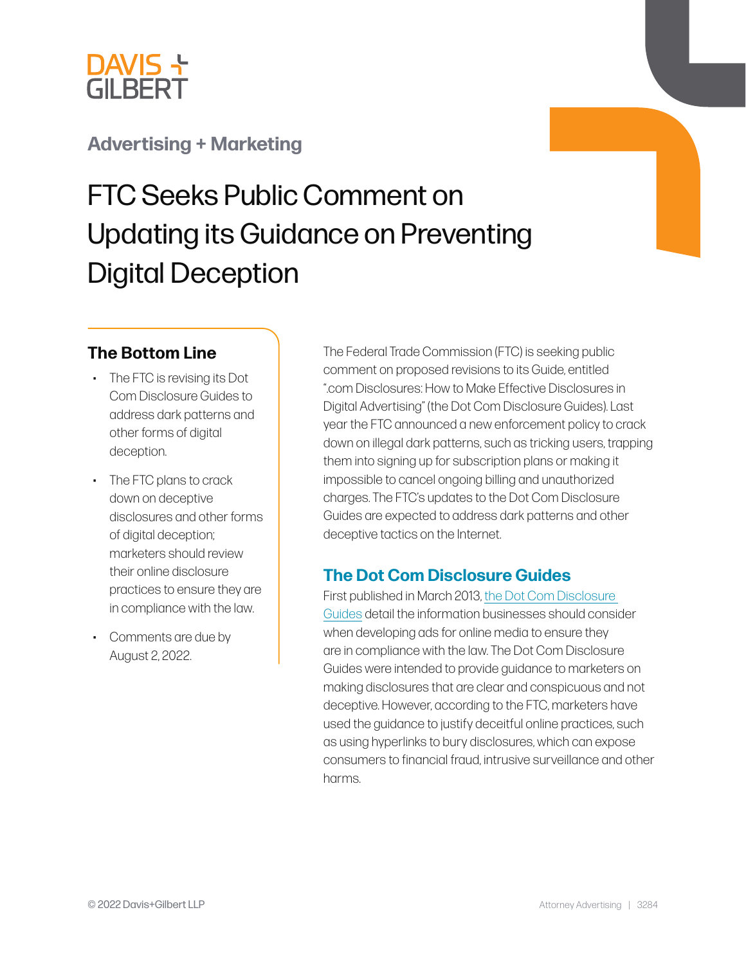

## **[Advertising + Marketing](https://www.dglaw.com/services/advertising-marketing/)**

# FTC Seeks Public Comment on Updating its Guidance on Preventing Digital Deception

## **The Bottom Line**

- The FTC is revising its Dot Com Disclosure Guides to address dark patterns and other forms of digital deception.
- The FTC plans to crack down on deceptive disclosures and other forms of digital deception; marketers should review their online disclosure practices to ensure they are in compliance with the law.
- Comments are due by August 2, 2022.

The Federal Trade Commission (FTC) is seeking public comment on proposed revisions to its Guide, entitled ".com Disclosures: How to Make Effective Disclosures in Digital Advertising" (the Dot Com Disclosure Guides). Last year the FTC announced a new enforcement policy to crack down on illegal dark patterns, such as tricking users, trapping them into signing up for subscription plans or making it impossible to cancel ongoing billing and unauthorized charges. The FTC's updates to the Dot Com Disclosure Guides are expected to address dark patterns and other deceptive tactics on the Internet.

## **The Dot Com Disclosure Guides**

First published in March 2013, [the Dot Com Disclosure](https://www.ftc.gov/system/files/documents/plain-language/bus41-dot-com-disclosures-information-about-online-advertising.pdf)  [Guides](https://www.ftc.gov/system/files/documents/plain-language/bus41-dot-com-disclosures-information-about-online-advertising.pdf) detail the information businesses should consider when developing ads for online media to ensure they are in compliance with the law. The Dot Com Disclosure Guides were intended to provide guidance to marketers on making disclosures that are clear and conspicuous and not deceptive. However, according to the FTC, marketers have used the guidance to justify deceitful online practices, such as using hyperlinks to bury disclosures, which can expose consumers to financial fraud, intrusive surveillance and other harms.